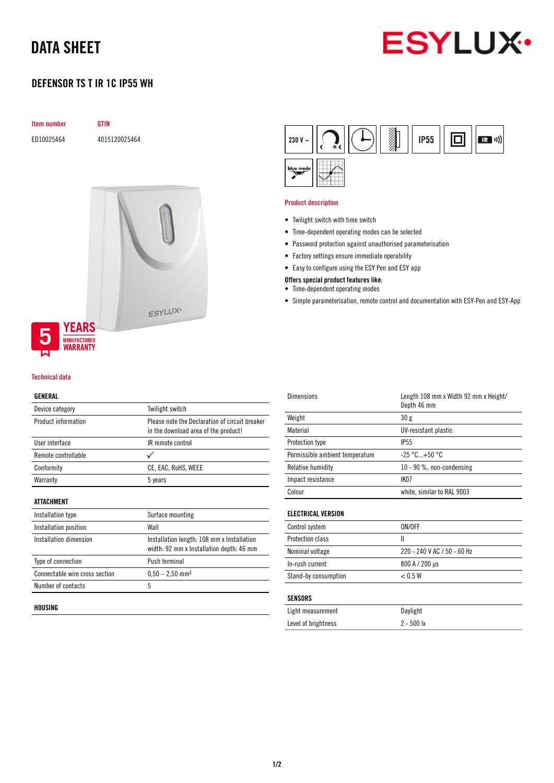# DATA SHEET



# DEFENSOR TS T IR 1C IP55 WH

| <b>Item number</b> |  |
|--------------------|--|
|                    |  |

ED10025464 4015120025464

**GTIN** 



### Technical data

### GENERAL

| Device category                | Twilight switch                                                                        |
|--------------------------------|----------------------------------------------------------------------------------------|
| Product information            | Please note the Declaration of circuit breaker<br>in the download area of the product! |
| User interface                 | IR remote control                                                                      |
| Remote controllable            |                                                                                        |
| Conformity                     | CE, EAC, RoHS, WEEE                                                                    |
| Warranty                       | 5 years                                                                                |
| ATTACHMENT                     |                                                                                        |
| Installation type              | Surface mounting                                                                       |
| Installation position          | Wall                                                                                   |
| Installation dimension         | Installation length: 108 mm x Installation<br>width: 92 mm x Installation depth: 46 mm |
| Type of connection             | Push terminal                                                                          |
| Connectable wire cross section | $0.50 - 2.50$ mm <sup>2</sup>                                                          |
| Number of contacts             | 5                                                                                      |
|                                |                                                                                        |

#### HOUSING



#### Product description

- Twilight switch with time switch
- Time-dependent operating modes can be selected
- Password protection against unauthorised parameterisation
- Factory settings ensure immediate operability
- Easy to configure using the ESY Pen and ESY app

# Offers special product features like:

- Time-dependent operating modes
- Simple parameterisation, remote control and documentation with ESY-Pen and ESY-App

| Dimensions                      | Length 108 mm x Width 92 mm x Height/<br>Depth 46 mm |
|---------------------------------|------------------------------------------------------|
| Weight                          | 30g                                                  |
| Material                        | UV-resistant plastic                                 |
| Protection type                 | <b>IP55</b>                                          |
| Permissible ambient temperature | $-25 °C+50 °C$                                       |
| Relative humidity               | 10 - 90 %, non-condensing                            |
| Impact resistance               | IK <sub>07</sub>                                     |
| Colour                          | white, similar to RAL 9003                           |
|                                 |                                                      |

# ELECTRICAL VERSION

| Control system          | ON/OFF                      |
|-------------------------|-----------------------------|
| <b>Protection class</b> |                             |
| Nominal voltage         | 220 - 240 V AC / 50 - 60 Hz |
| In-rush current         | 800 A / 200 µs              |
| Stand-by consumption    | < 0.5 W                     |

# SENSORS

| Light measurement   | Daylight     |
|---------------------|--------------|
| Level of brightness | $2 - 500$ lx |